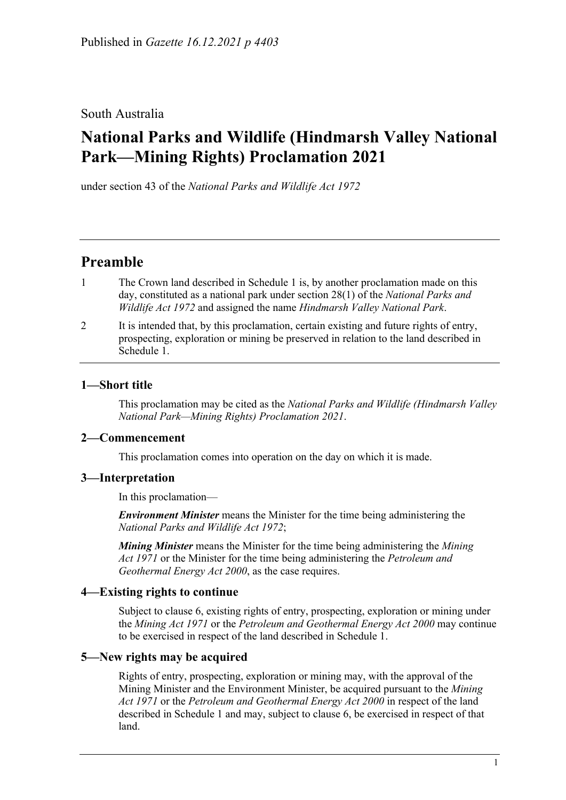## South Australia

# **National Parks and Wildlife (Hindmarsh Valley National Park—Mining Rights) Proclamation 2021**

under section 43 of the *National Parks and Wildlife Act 1972*

## **Preamble**

- 1 The Crown land described in [Schedule](#page-2-0) 1 is, by another proclamation made on this day, constituted as a national park under section 28(1) of the *[National Parks and](http://www.legislation.sa.gov.au/index.aspx?action=legref&type=act&legtitle=National%20Parks%20and%20Wildlife%20Act%201972)  [Wildlife Act](http://www.legislation.sa.gov.au/index.aspx?action=legref&type=act&legtitle=National%20Parks%20and%20Wildlife%20Act%201972) 1972* and assigned the name *Hindmarsh Valley National Park*.
- 2 It is intended that, by this proclamation, certain existing and future rights of entry, prospecting, exploration or mining be preserved in relation to the land described in [Schedule](#page-2-0) 1.

### **1—Short title**

This proclamation may be cited as the *National Parks and Wildlife (Hindmarsh Valley National Park—Mining Rights) Proclamation 2021*.

### **2—Commencement**

This proclamation comes into operation on the day on which it is made.

### **3—Interpretation**

In this proclamation—

*Environment Minister* means the Minister for the time being administering the *[National Parks and Wildlife Act](http://www.legislation.sa.gov.au/index.aspx?action=legref&type=act&legtitle=National%20Parks%20and%20Wildlife%20Act%201972) 1972*;

*Mining Minister* means the Minister for the time being administering the *[Mining](http://www.legislation.sa.gov.au/index.aspx?action=legref&type=act&legtitle=Mining%20Act%201971)  Act [1971](http://www.legislation.sa.gov.au/index.aspx?action=legref&type=act&legtitle=Mining%20Act%201971)* or the Minister for the time being administering the *[Petroleum and](http://www.legislation.sa.gov.au/index.aspx?action=legref&type=act&legtitle=Petroleum%20and%20Geothermal%20Energy%20Act%202000)  [Geothermal Energy Act](http://www.legislation.sa.gov.au/index.aspx?action=legref&type=act&legtitle=Petroleum%20and%20Geothermal%20Energy%20Act%202000) 2000*, as the case requires.

## **4—Existing rights to continue**

Subject to [clause](#page-1-0) 6, existing rights of entry, prospecting, exploration or mining under the *[Mining Act](http://www.legislation.sa.gov.au/index.aspx?action=legref&type=act&legtitle=Mining%20Act%201971) 1971* or the *[Petroleum and Geothermal Energy Act](http://www.legislation.sa.gov.au/index.aspx?action=legref&type=act&legtitle=Petroleum%20and%20Geothermal%20Energy%20Act%202000) 2000* may continue to be exercised in respect of the land described in [Schedule](#page-2-0) 1.

## <span id="page-0-0"></span>**5—New rights may be acquired**

Rights of entry, prospecting, exploration or mining may, with the approval of the Mining Minister and the Environment Minister, be acquired pursuant to the *[Mining](http://www.legislation.sa.gov.au/index.aspx?action=legref&type=act&legtitle=Mining%20Act%201971)  Act [1971](http://www.legislation.sa.gov.au/index.aspx?action=legref&type=act&legtitle=Mining%20Act%201971)* or the *[Petroleum and Geothermal Energy Act](http://www.legislation.sa.gov.au/index.aspx?action=legref&type=act&legtitle=Petroleum%20and%20Geothermal%20Energy%20Act%202000) 2000* in respect of the land described in [Schedule](#page-2-0) 1 and may, subject to [clause](#page-1-0) 6, be exercised in respect of that land.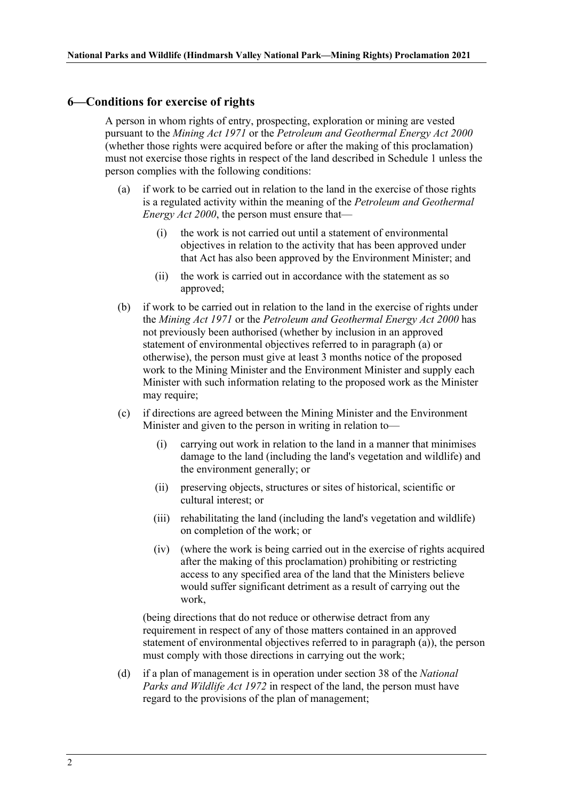#### <span id="page-1-0"></span>**6—Conditions for exercise of rights**

A person in whom rights of entry, prospecting, exploration or mining are vested pursuant to the *[Mining Act](http://www.legislation.sa.gov.au/index.aspx?action=legref&type=act&legtitle=Mining%20Act%201971) 1971* or the *[Petroleum and Geothermal Energy Act](http://www.legislation.sa.gov.au/index.aspx?action=legref&type=act&legtitle=Petroleum%20and%20Geothermal%20Energy%20Act%202000) 2000* (whether those rights were acquired before or after the making of this proclamation) must not exercise those rights in respect of the land described in [Schedule](#page-2-0) 1 unless the person complies with the following conditions:

- <span id="page-1-1"></span>(a) if work to be carried out in relation to the land in the exercise of those rights is a regulated activity within the meaning of the *[Petroleum and Geothermal](http://www.legislation.sa.gov.au/index.aspx?action=legref&type=act&legtitle=Petroleum%20and%20Geothermal%20Energy%20Act%202000)  [Energy Act](http://www.legislation.sa.gov.au/index.aspx?action=legref&type=act&legtitle=Petroleum%20and%20Geothermal%20Energy%20Act%202000) 2000*, the person must ensure that—
	- (i) the work is not carried out until a statement of environmental objectives in relation to the activity that has been approved under that Act has also been approved by the Environment Minister; and
	- (ii) the work is carried out in accordance with the statement as so approved;
- (b) if work to be carried out in relation to the land in the exercise of rights under the *[Mining Act](http://www.legislation.sa.gov.au/index.aspx?action=legref&type=act&legtitle=Mining%20Act%201971) 1971* or the *[Petroleum and Geothermal Energy Act](http://www.legislation.sa.gov.au/index.aspx?action=legref&type=act&legtitle=Petroleum%20and%20Geothermal%20Energy%20Act%202000) 2000* has not previously been authorised (whether by inclusion in an approved statement of environmental objectives referred to in [paragraph](#page-1-1) (a) or otherwise), the person must give at least 3 months notice of the proposed work to the Mining Minister and the Environment Minister and supply each Minister with such information relating to the proposed work as the Minister may require;
- <span id="page-1-3"></span><span id="page-1-2"></span>(c) if directions are agreed between the Mining Minister and the Environment Minister and given to the person in writing in relation to—
	- (i) carrying out work in relation to the land in a manner that minimises damage to the land (including the land's vegetation and wildlife) and the environment generally; or
	- (ii) preserving objects, structures or sites of historical, scientific or cultural interest; or
	- (iii) rehabilitating the land (including the land's vegetation and wildlife) on completion of the work; or
	- (iv) (where the work is being carried out in the exercise of rights acquired after the making of this proclamation) prohibiting or restricting access to any specified area of the land that the Ministers believe would suffer significant detriment as a result of carrying out the work,

(being directions that do not reduce or otherwise detract from any requirement in respect of any of those matters contained in an approved statement of environmental objectives referred to in [paragraph](#page-1-1) (a)), the person must comply with those directions in carrying out the work;

(d) if a plan of management is in operation under section 38 of the *[National](http://www.legislation.sa.gov.au/index.aspx?action=legref&type=act&legtitle=National%20Parks%20and%20Wildlife%20Act%201972)  [Parks and Wildlife Act](http://www.legislation.sa.gov.au/index.aspx?action=legref&type=act&legtitle=National%20Parks%20and%20Wildlife%20Act%201972) 1972* in respect of the land, the person must have regard to the provisions of the plan of management;